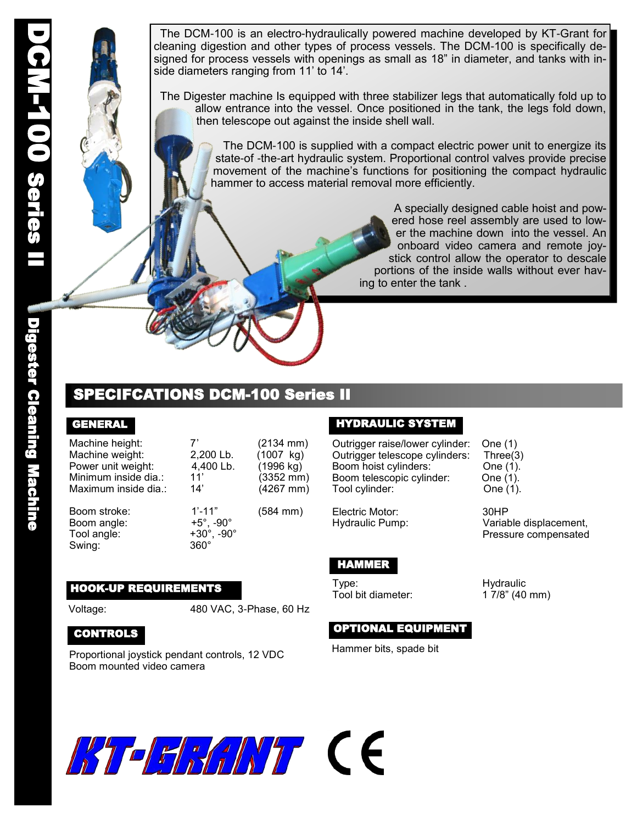DC<sub>N</sub> 100 Series II

Digester Cleaning Machine

**Digester Cleaning Machine** 

 The DCM-100 is an electro-hydraulically powered machine developed by KT-Grant for cleaning digestion and other types of process vessels. The DCM-100 is specifically designed for process vessels with openings as small as 18" in diameter, and tanks with inside diameters ranging from 11' to 14'.

 The Digester machine Is equipped with three stabilizer legs that automatically fold up to allow entrance into the vessel. Once positioned in the tank, the legs fold down, then telescope out against the inside shell wall.

> The DCM-100 is supplied with a compact electric power unit to energize its state-of -the-art hydraulic system. Proportional control valves provide precise movement of the machine's functions for positioning the compact hydraulic hammer to access material removal more efficiently.

> > A specially designed cable hoist and powered hose reel assembly are used to lower the machine down into the vessel. An onboard video camera and remote joystick control allow the operator to descale portions of the inside walls without ever having to enter the tank .

# SPECIFCATIONS DCM-100 Series II

## GENERAL

Machine height: 7' (2134 mm) Machine weight: 2,200 Lb. (1007 kg)<br>Power unit weight: 4,400 Lb. (1996 kg) Power unit weight: 4,400 Lb. (1996 kg) Minimum inside dia.: 11' (3352 mm) Maximum inside dia.: 14' (4267 mm)

Boom angle: +5°, -90° Tool angle: Swing: 360°

Boom stroke: 1'-11" (584 mm)

# HOOK-UP REQUIREMENTS

Voltage: 480 VAC, 3-Phase, 60 Hz

## CONTROLS

Proportional joystick pendant controls, 12 VDC Boom mounted video camera

#### HYDRAULIC SYSTEM

Outrigger raise/lower cylinder: One (1) Outrigger telescope cylinders: Three(3) Boom hoist cylinders: One (1). Boom telescopic cylinder: One (1). Tool cylinder: Che (1).

Electric Motor: 30HP

# HAMMER

Type: Hydraulic

## OPTIONAL EQUIPMENT

Hammer bits, spade bit

Hydraulic Pump: Variable displacement, Pressure compensated

1 7/8" (40 mm)